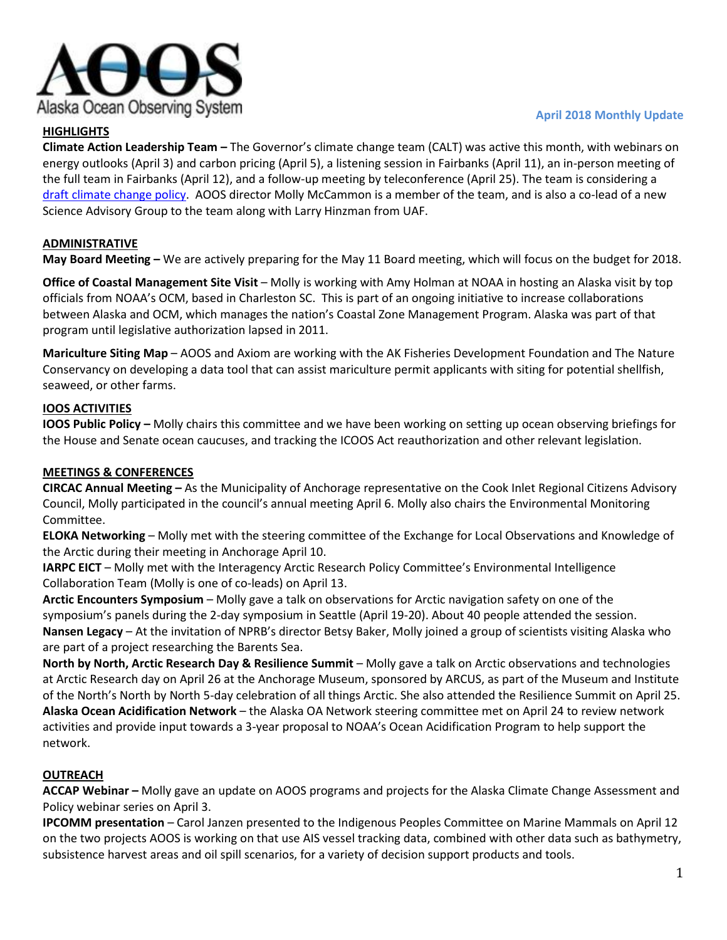

# **HIGHLIGHTS**

#### **April 2018 Monthly Update**

**Climate Action Leadership Team –** The Governor's climate change team (CALT) was active this month, with webinars on energy outlooks (April 3) and carbon pricing (April 5), a listening session in Fairbanks (April 11), an in-person meeting of the full team in Fairbanks (April 12), and a follow-up meeting by teleconference (April 25). The team is considering a [draft climate change policy.](http://climatechange.gov.alaska.gov/) AOOS director Molly McCammon is a member of the team, and is also a co-lead of a new Science Advisory Group to the team along with Larry Hinzman from UAF.

# **ADMINISTRATIVE**

**May Board Meeting –** We are actively preparing for the May 11 Board meeting, which will focus on the budget for 2018.

**Office of Coastal Management Site Visit** – Molly is working with Amy Holman at NOAA in hosting an Alaska visit by top officials from NOAA's OCM, based in Charleston SC. This is part of an ongoing initiative to increase collaborations between Alaska and OCM, which manages the nation's Coastal Zone Management Program. Alaska was part of that program until legislative authorization lapsed in 2011.

**Mariculture Siting Map** – AOOS and Axiom are working with the AK Fisheries Development Foundation and The Nature Conservancy on developing a data tool that can assist mariculture permit applicants with siting for potential shellfish, seaweed, or other farms.

## **IOOS ACTIVITIES**

**IOOS Public Policy –** Molly chairs this committee and we have been working on setting up ocean observing briefings for the House and Senate ocean caucuses, and tracking the ICOOS Act reauthorization and other relevant legislation.

## **MEETINGS & CONFERENCES**

**CIRCAC Annual Meeting –** As the Municipality of Anchorage representative on the Cook Inlet Regional Citizens Advisory Council, Molly participated in the council's annual meeting April 6. Molly also chairs the Environmental Monitoring Committee.

**ELOKA Networking** – Molly met with the steering committee of the Exchange for Local Observations and Knowledge of the Arctic during their meeting in Anchorage April 10.

**IARPC EICT** – Molly met with the Interagency Arctic Research Policy Committee's Environmental Intelligence Collaboration Team (Molly is one of co-leads) on April 13.

**Arctic Encounters Symposium** – Molly gave a talk on observations for Arctic navigation safety on one of the symposium's panels during the 2-day symposium in Seattle (April 19-20). About 40 people attended the session. **Nansen Legacy** – At the invitation of NPRB's director Betsy Baker, Molly joined a group of scientists visiting Alaska who are part of a project researching the Barents Sea.

**North by North, Arctic Research Day & Resilience Summit** – Molly gave a talk on Arctic observations and technologies at Arctic Research day on April 26 at the Anchorage Museum, sponsored by ARCUS, as part of the Museum and Institute of the North's North by North 5-day celebration of all things Arctic. She also attended the Resilience Summit on April 25. **Alaska Ocean Acidification Network** – the Alaska OA Network steering committee met on April 24 to review network activities and provide input towards a 3-year proposal to NOAA's Ocean Acidification Program to help support the network.

## **OUTREACH**

**ACCAP Webinar –** Molly gave an update on AOOS programs and projects for the Alaska Climate Change Assessment and Policy webinar series on April 3.

**IPCOMM presentation** – Carol Janzen presented to the Indigenous Peoples Committee on Marine Mammals on April 12 on the two projects AOOS is working on that use AIS vessel tracking data, combined with other data such as bathymetry, subsistence harvest areas and oil spill scenarios, for a variety of decision support products and tools.